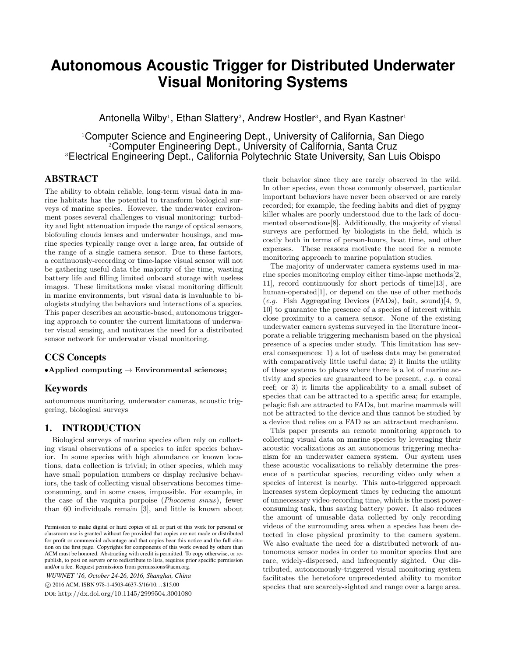# **Autonomous Acoustic Trigger for Distributed Underwater Visual Monitoring Systems**

Antonella Wilby<sup>1</sup>, Ethan Slattery<sup>2</sup>, Andrew Hostler<sup>3</sup>, and Ryan Kastner<sup>1</sup>

<sup>1</sup>Computer Science and Engineering Dept., University of California, San Diego <sup>2</sup>Computer Engineering Dept., University of California, Santa Cruz <sup>3</sup>Electrical Engineering Dept., California Polytechnic State University, San Luis Obispo

## ABSTRACT

The ability to obtain reliable, long-term visual data in marine habitats has the potential to transform biological surveys of marine species. However, the underwater environment poses several challenges to visual monitoring: turbidity and light attenuation impede the range of optical sensors, biofouling clouds lenses and underwater housings, and marine species typically range over a large area, far outside of the range of a single camera sensor. Due to these factors, a continuously-recording or time-lapse visual sensor will not be gathering useful data the majority of the time, wasting battery life and filling limited onboard storage with useless images. These limitations make visual monitoring difficult in marine environments, but visual data is invaluable to biologists studying the behaviors and interactions of a species. This paper describes an acoustic-based, autonomous triggering approach to counter the current limitations of underwater visual sensing, and motivates the need for a distributed sensor network for underwater visual monitoring.

# CCS Concepts

•Applied computing  $\rightarrow$  Environmental sciences;

# Keywords

autonomous monitoring, underwater cameras, acoustic triggering, biological surveys

# 1. INTRODUCTION

Biological surveys of marine species often rely on collecting visual observations of a species to infer species behavior. In some species with high abundance or known locations, data collection is trivial; in other species, which may have small population numbers or display reclusive behaviors, the task of collecting visual observations becomes timeconsuming, and in some cases, impossible. For example, in the case of the vaquita porpoise (Phocoena sinus), fewer than 60 individuals remain [3], and little is known about

*WUWNET '16, October 24-26, 2016, Shanghai, China* c 2016 ACM. ISBN 978-1-4503-4637-5/16/10. . . \$15.00

DOI: http://dx.doi.org/10.1145/2999504.3001080

their behavior since they are rarely observed in the wild. In other species, even those commonly observed, particular important behaviors have never been observed or are rarely recorded; for example, the feeding habits and diet of pygmy killer whales are poorly understood due to the lack of documented observations[8]. Additionally, the majority of visual surveys are performed by biologists in the field, which is costly both in terms of person-hours, boat time, and other expenses. These reasons motivate the need for a remote monitoring approach to marine population studies.

The majority of underwater camera systems used in marine species monitoring employ either time-lapse methods[2, 11], record continuously for short periods of time[13], are human-operated[1], or depend on the use of other methods (e.g. Fish Aggregating Devices (FADs), bait, sound)[4, 9, 10] to guarantee the presence of a species of interest within close proximity to a camera sensor. None of the existing underwater camera systems surveyed in the literature incorporate a reliable triggering mechanism based on the physical presence of a species under study. This limitation has several consequences: 1) a lot of useless data may be generated with comparatively little useful data; 2) it limits the utility of these systems to places where there is a lot of marine activity and species are guaranteed to be present, e.g. a coral reef; or 3) it limits the applicability to a small subset of species that can be attracted to a specific area; for example, pelagic fish are attracted to FADs, but marine mammals will not be attracted to the device and thus cannot be studied by a device that relies on a FAD as an attractant mechanism.

This paper presents an remote monitoring approach to collecting visual data on marine species by leveraging their acoustic vocalizations as an autonomous triggering mechanism for an underwater camera system. Our system uses these acoustic vocalizations to reliably determine the presence of a particular species, recording video only when a species of interest is nearby. This auto-triggered approach increases system deployment times by reducing the amount of unnecessary video-recording time, which is the most powerconsuming task, thus saving battery power. It also reduces the amount of unusable data collected by only recording videos of the surrounding area when a species has been detected in close physical proximity to the camera system. We also evaluate the need for a distributed network of autonomous sensor nodes in order to monitor species that are rare, widely-dispersed, and infrequently sighted. Our distributed, autonomously-triggered visual monitoring system facilitates the heretofore unprecedented ability to monitor species that are scarcely-sighted and range over a large area.

Permission to make digital or hard copies of all or part of this work for personal or classroom use is granted without fee provided that copies are not made or distributed for profit or commercial advantage and that copies bear this notice and the full citation on the first page. Copyrights for components of this work owned by others than ACM must be honored. Abstracting with credit is permitted. To copy otherwise, or republish, to post on servers or to redistribute to lists, requires prior specific permission and/or a fee. Request permissions from permissions@acm.org.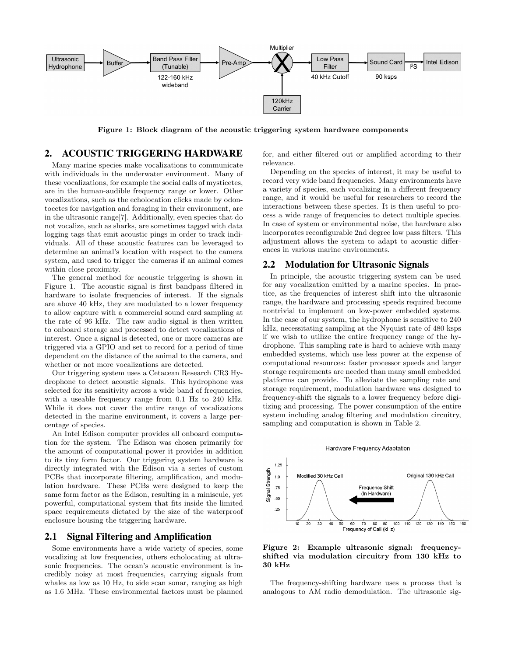

Figure 1: Block diagram of the acoustic triggering system hardware components

# 2. ACOUSTIC TRIGGERING HARDWARE

Many marine species make vocalizations to communicate with individuals in the underwater environment. Many of these vocalizations, for example the social calls of mysticetes, are in the human-audible frequency range or lower. Other vocalizations, such as the echolocation clicks made by odontocetes for navigation and foraging in their environment, are in the ultrasonic range[7]. Additionally, even species that do not vocalize, such as sharks, are sometimes tagged with data logging tags that emit acoustic pings in order to track individuals. All of these acoustic features can be leveraged to determine an animal's location with respect to the camera system, and used to trigger the cameras if an animal comes within close proximity.

The general method for acoustic triggering is shown in Figure 1. The acoustic signal is first bandpass filtered in hardware to isolate frequencies of interest. If the signals are above 40 kHz, they are modulated to a lower frequency to allow capture with a commercial sound card sampling at the rate of 96 kHz. The raw audio signal is then written to onboard storage and processed to detect vocalizations of interest. Once a signal is detected, one or more cameras are triggered via a GPIO and set to record for a period of time dependent on the distance of the animal to the camera, and whether or not more vocalizations are detected.

Our triggering system uses a Cetacean Research CR3 Hydrophone to detect acoustic signals. This hydrophone was selected for its sensitivity across a wide band of frequencies, with a useable frequency range from 0.1 Hz to 240 kHz. While it does not cover the entire range of vocalizations detected in the marine environment, it covers a large percentage of species.

An Intel Edison computer provides all onboard computation for the system. The Edison was chosen primarily for the amount of computational power it provides in addition to its tiny form factor. Our triggering system hardware is directly integrated with the Edison via a series of custom PCBs that incorporate filtering, amplification, and modulation hardware. These PCBs were designed to keep the same form factor as the Edison, resulting in a miniscule, yet powerful, computational system that fits inside the limited space requirements dictated by the size of the waterproof enclosure housing the triggering hardware.

#### 2.1 Signal Filtering and Amplification

Some environments have a wide variety of species, some vocalizing at low frequencies, others echolocating at ultrasonic frequencies. The ocean's acoustic environment is incredibly noisy at most frequencies, carrying signals from whales as low as 10 Hz, to side scan sonar, ranging as high as 1.6 MHz. These environmental factors must be planned for, and either filtered out or amplified according to their relevance.

Depending on the species of interest, it may be useful to record very wide band frequencies. Many environments have a variety of species, each vocalizing in a different frequency range, and it would be useful for researchers to record the interactions between these species. It is then useful to process a wide range of frequencies to detect multiple species. In case of system or environmental noise, the hardware also incorporates reconfigurable 2nd degree low pass filters. This adjustment allows the system to adapt to acoustic differences in various marine environments.

## 2.2 Modulation for Ultrasonic Signals

In principle, the acoustic triggering system can be used for any vocalization emitted by a marine species. In practice, as the frequencies of interest shift into the ultrasonic range, the hardware and processing speeds required become nontrivial to implement on low-power embedded systems. In the case of our system, the hydrophone is sensitive to 240 kHz, necessitating sampling at the Nyquist rate of 480 ksps if we wish to utilize the entire frequency range of the hydrophone. This sampling rate is hard to achieve with many embedded systems, which use less power at the expense of computational resources: faster processor speeds and larger storage requirements are needed than many small embedded platforms can provide. To alleviate the sampling rate and storage requirement, modulation hardware was designed to frequency-shift the signals to a lower frequency before digitizing and processing. The power consumption of the entire system including analog filtering and modulation circuitry, sampling and computation is shown in Table 2.

#### Hardware Frequency Adaptation



Figure 2: Example ultrasonic signal: frequencyshifted via modulation circuitry from 130 kHz to 30 kHz

The frequency-shifting hardware uses a process that is analogous to AM radio demodulation. The ultrasonic sig-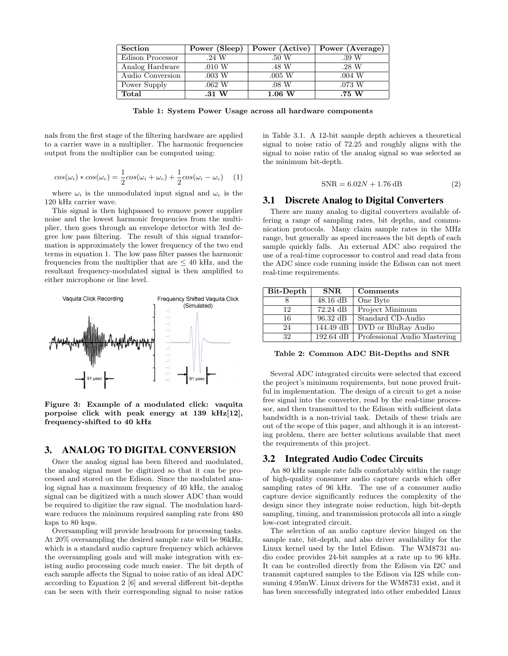| <b>Section</b>   | Power (Sleep)      | Power (Active)     | Power (Average) |
|------------------|--------------------|--------------------|-----------------|
| Edison Processor | .24 W              | .50 W              | .39 W           |
| Analog Hardware  | $.010\ \mathrm{W}$ | .48 W              | .28 W           |
| Audio Conversion | $.003\,$ W         | $.005\ \mathrm{W}$ | .004 W          |
| Power Supply     | .062 W             | $.08\,$ W          | .073 W          |
| Total            | $.31\ \text{W}$    | $1.06\ \text{W}$   | .75 W           |

Table 1: System Power Usage across all hardware components

nals from the first stage of the filtering hardware are applied to a carrier wave in a multiplier. The harmonic frequencies output from the multiplier can be computed using:

$$
cos(\omega_i) * cos(\omega_c) = \frac{1}{2}cos(\omega_i + \omega_c) + \frac{1}{2}cos(\omega_i - \omega_c) \quad (1)
$$

where  $\omega_i$  is the unmodulated input signal and  $\omega_c$  is the 120 kHz carrier wave.

This signal is then highpassed to remove power supplier noise and the lowest harmonic frequencies from the multiplier, then goes through an envelope detector with 3rd degree low pass filtering. The result of this signal transformation is approximately the lower frequency of the two end terms in equation 1. The low pass filter passes the harmonic frequencies from the multiplier that are  $\leq 40$  kHz, and the resultant frequency-modulated signal is then amplified to either microphone or line level.



Figure 3: Example of a modulated click: vaquita porpoise click with peak energy at 139 kHz[12], frequency-shifted to 40 kHz

# 3. ANALOG TO DIGITAL CONVERSION

Once the analog signal has been filtered and modulated, the analog signal must be digitized so that it can be processed and stored on the Edison. Since the modulated analog signal has a maximum frequency of 40 kHz, the analog signal can be digitized with a much slower ADC than would be required to digitize the raw signal. The modulation hardware reduces the minimum required sampling rate from 480 ksps to 80 ksps.

Oversampling will provide headroom for processing tasks. At 20% oversampling the desired sample rate will be 96kHz, which is a standard audio capture frequency which achieves the oversampling goals and will make integration with existing audio processing code much easier. The bit depth of each sample affects the Signal to noise ratio of an ideal ADC according to Equation 2 [6] and several different bit-depths can be seen with their corresponding signal to noise ratios in Table 3.1. A 12-bit sample depth achieves a theoretical signal to noise ratio of 72.25 and roughly aligns with the signal to noise ratio of the analog signal so was selected as the minimum bit-depth.

$$
SNR = 6.02N + 1.76 \, \text{dB} \tag{2}
$$

## 3.1 Discrete Analog to Digital Converters

There are many analog to digital converters available offering a range of sampling rates, bit depths, and communication protocols. Many claim sample rates in the MHz range, but generally as speed increases the bit depth of each sample quickly falls. An external ADC also required the use of a real-time coprocessor to control and read data from the ADC since code running inside the Edison can not meet real-time requirements.

| Bit-Depth | SNR.               | Comments                     |
|-----------|--------------------|------------------------------|
|           | $48.16$ dB         | One Byte                     |
| 12        | $72.24 \text{ dB}$ | Project Minimum              |
| 16        | $96.32 \text{ dB}$ | Standard CD-Audio            |
| 24        | 144.49 dB          | DVD or BluRay Audio          |
| 32        | 192.64 dB          | Professional Audio Mastering |

Table 2: Common ADC Bit-Depths and SNR

Several ADC integrated circuits were selected that exceed the project's minimum requirements, but none proved fruitful in implementation. The design of a circuit to get a noise free signal into the converter, read by the real-time processor, and then transmitted to the Edison with sufficient data bandwidth is a non-trivial task. Details of these trials are out of the scope of this paper, and although it is an interesting problem, there are better solutions available that meet the requirements of this project.

### 3.2 Integrated Audio Codec Circuits

An 80 kHz sample rate falls comfortably within the range of high-quality consumer audio capture cards which offer sampling rates of 96 kHz. The use of a consumer audio capture device significantly reduces the complexity of the design since they integrate noise reduction, high bit-depth sampling, timing, and transmission protocols all into a single low-cost integrated circuit.

The selection of an audio capture device hinged on the sample rate, bit-depth, and also driver availability for the Linux kernel used by the Intel Edison. The WM8731 audio codec provides 24-bit samples at a rate up to 96 kHz. It can be controlled directly from the Edison via I2C and transmit captured samples to the Edison via I2S while consuming 4.95mW. Linux drivers for the WM8731 exist, and it has been successfully integrated into other embedded Linux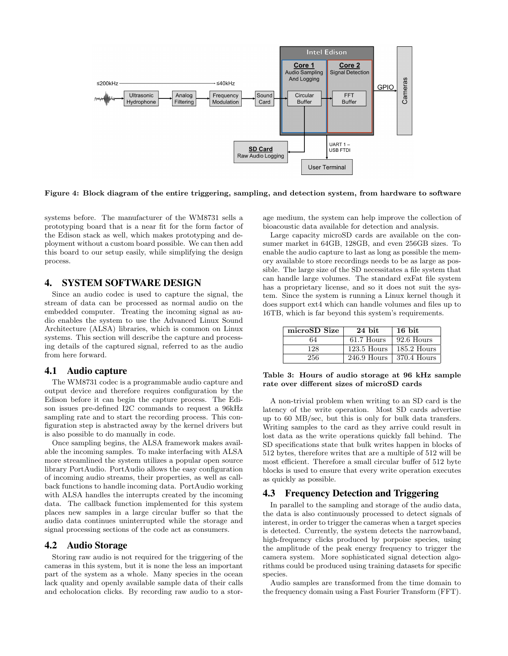

Figure 4: Block diagram of the entire triggering, sampling, and detection system, from hardware to software

systems before. The manufacturer of the WM8731 sells a prototyping board that is a near fit for the form factor of the Edison stack as well, which makes prototyping and deployment without a custom board possible. We can then add this board to our setup easily, while simplifying the design process.

# 4. SYSTEM SOFTWARE DESIGN

Since an audio codec is used to capture the signal, the stream of data can be processed as normal audio on the embedded computer. Treating the incoming signal as audio enables the system to use the Advanced Linux Sound Architecture (ALSA) libraries, which is common on Linux systems. This section will describe the capture and processing details of the captured signal, referred to as the audio from here forward.

#### 4.1 Audio capture

The WM8731 codec is a programmable audio capture and output device and therefore requires configuration by the Edison before it can begin the capture process. The Edison issues pre-defined I2C commands to request a 96kHz sampling rate and to start the recording process. This configuration step is abstracted away by the kernel drivers but is also possible to do manually in code.

Once sampling begins, the ALSA framework makes available the incoming samples. To make interfacing with ALSA more streamlined the system utilizes a popular open source library PortAudio. PortAudio allows the easy configuration of incoming audio streams, their properties, as well as callback functions to handle incoming data. PortAudio working with ALSA handles the interrupts created by the incoming data. The callback function implemented for this system places new samples in a large circular buffer so that the audio data continues uninterrupted while the storage and signal processing sections of the code act as consumers.

#### 4.2 Audio Storage

Storing raw audio is not required for the triggering of the cameras in this system, but it is none the less an important part of the system as a whole. Many species in the ocean lack quality and openly available sample data of their calls and echolocation clicks. By recording raw audio to a stor-

age medium, the system can help improve the collection of bioacoustic data available for detection and analysis.

Large capacity microSD cards are available on the consumer market in 64GB, 128GB, and even 256GB sizes. To enable the audio capture to last as long as possible the memory available to store recordings needs to be as large as possible. The large size of the SD necessitates a file system that can handle large volumes. The standard exFat file system has a proprietary license, and so it does not suit the system. Since the system is running a Linux kernel though it does support ext4 which can handle volumes and files up to 16TB, which is far beyond this system's requirements.

| microSD Size | $24$ bit                  | 16 bit        |
|--------------|---------------------------|---------------|
| 64           | 61.7 Hours                | 92.6 Hours    |
| 128          | $123.5$ Hours             | $185.2$ Hours |
| 256          | 246.9 Hours   370.4 Hours |               |

#### Table 3: Hours of audio storage at 96 kHz sample rate over different sizes of microSD cards

A non-trivial problem when writing to an SD card is the latency of the write operation. Most SD cards advertise up to 60 MB/sec, but this is only for bulk data transfers. Writing samples to the card as they arrive could result in lost data as the write operations quickly fall behind. The SD specifications state that bulk writes happen in blocks of 512 bytes, therefore writes that are a multiple of 512 will be most efficient. Therefore a small circular buffer of 512 byte blocks is used to ensure that every write operation executes as quickly as possible.

## 4.3 Frequency Detection and Triggering

In parallel to the sampling and storage of the audio data, the data is also continuously processed to detect signals of interest, in order to trigger the cameras when a target species is detected. Currently, the system detects the narrowband, high-frequency clicks produced by porpoise species, using the amplitude of the peak energy frequency to trigger the camera system. More sophisticated signal detection algorithms could be produced using training datasets for specific species.

Audio samples are transformed from the time domain to the frequency domain using a Fast Fourier Transform (FFT).